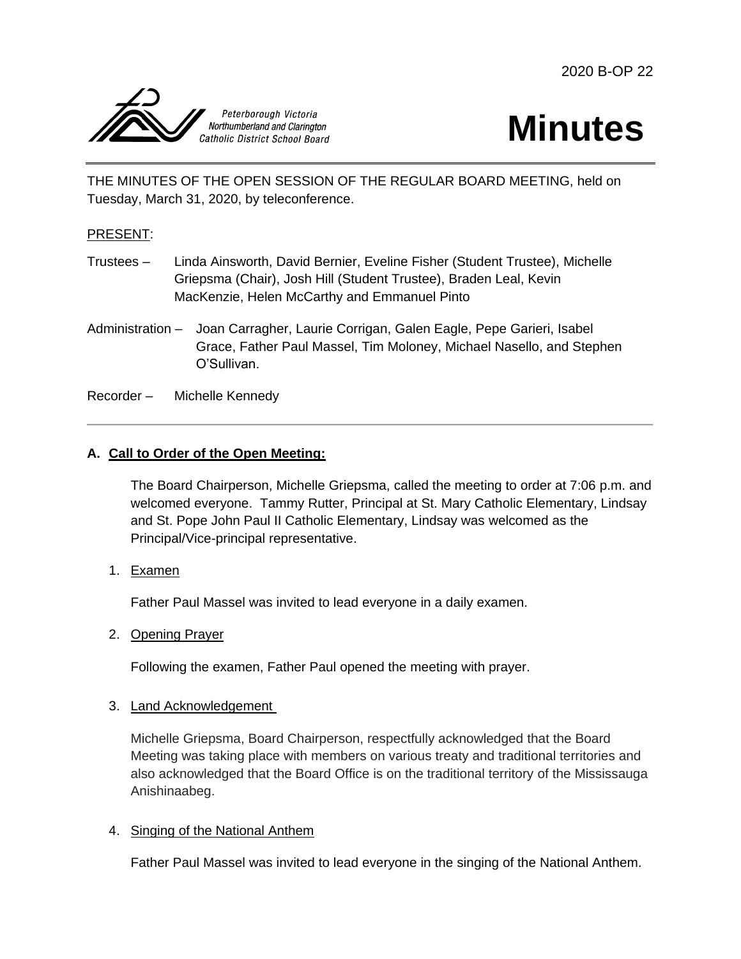



THE MINUTES OF THE OPEN SESSION OF THE REGULAR BOARD MEETING, held on Tuesday, March 31, 2020, by teleconference.

#### PRESENT:

- Trustees Linda Ainsworth, David Bernier, Eveline Fisher (Student Trustee), Michelle Griepsma (Chair), Josh Hill (Student Trustee), Braden Leal, Kevin MacKenzie, Helen McCarthy and Emmanuel Pinto
- Administration Joan Carragher, Laurie Corrigan, Galen Eagle, Pepe Garieri, Isabel Grace, Father Paul Massel, Tim Moloney, Michael Nasello, and Stephen O'Sullivan.

Recorder – Michelle Kennedy

### **A. Call to Order of the Open Meeting:**

The Board Chairperson, Michelle Griepsma, called the meeting to order at 7:06 p.m. and welcomed everyone. Tammy Rutter, Principal at St. Mary Catholic Elementary, Lindsay and St. Pope John Paul II Catholic Elementary, Lindsay was welcomed as the Principal/Vice-principal representative.

1. Examen

Father Paul Massel was invited to lead everyone in a daily examen.

2. Opening Prayer

Following the examen, Father Paul opened the meeting with prayer.

#### 3. Land Acknowledgement

Michelle Griepsma, Board Chairperson, respectfully acknowledged that the Board Meeting was taking place with members on various treaty and traditional territories and also acknowledged that the Board Office is on the traditional territory of the Mississauga Anishinaabeg.

#### 4. Singing of the National Anthem

Father Paul Massel was invited to lead everyone in the singing of the National Anthem.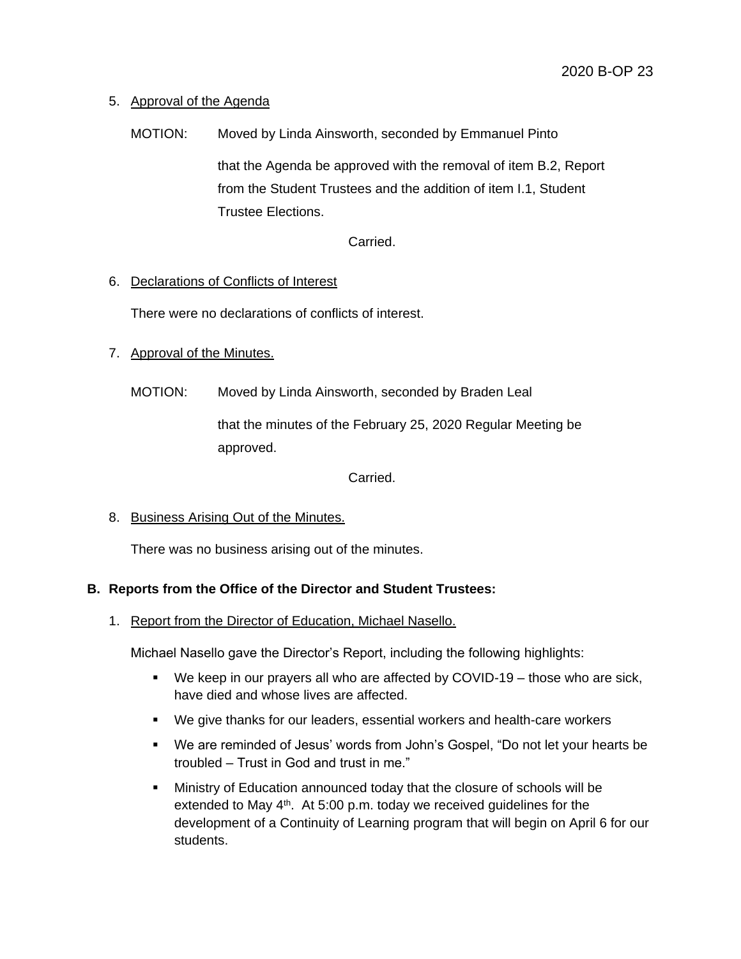# 5. Approval of the Agenda

MOTION: Moved by Linda Ainsworth, seconded by Emmanuel Pinto that the Agenda be approved with the removal of item B.2, Report from the Student Trustees and the addition of item I.1, Student Trustee Elections.

Carried.

#### 6. Declarations of Conflicts of Interest

There were no declarations of conflicts of interest.

### 7. Approval of the Minutes.

MOTION: Moved by Linda Ainsworth, seconded by Braden Leal

that the minutes of the February 25, 2020 Regular Meeting be approved.

#### Carried.

#### 8. Business Arising Out of the Minutes.

There was no business arising out of the minutes.

# **B. Reports from the Office of the Director and Student Trustees:**

1. Report from the Director of Education, Michael Nasello.

Michael Nasello gave the Director's Report, including the following highlights:

- We keep in our prayers all who are affected by COVID-19 those who are sick, have died and whose lives are affected.
- We give thanks for our leaders, essential workers and health-care workers
- We are reminded of Jesus' words from John's Gospel, "Do not let your hearts be troubled – Trust in God and trust in me."
- Ministry of Education announced today that the closure of schools will be extended to May 4<sup>th</sup>. At 5:00 p.m. today we received guidelines for the development of a Continuity of Learning program that will begin on April 6 for our students.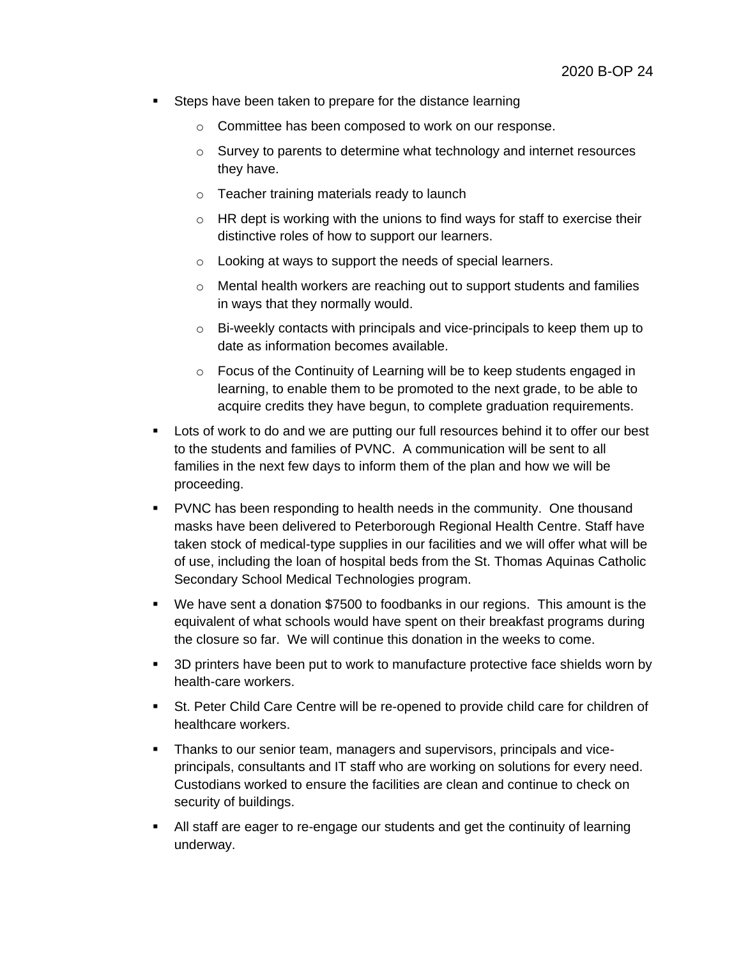- **Steps have been taken to prepare for the distance learning** 
	- o Committee has been composed to work on our response.
	- o Survey to parents to determine what technology and internet resources they have.
	- o Teacher training materials ready to launch
	- $\circ$  HR dept is working with the unions to find ways for staff to exercise their distinctive roles of how to support our learners.
	- o Looking at ways to support the needs of special learners.
	- o Mental health workers are reaching out to support students and families in ways that they normally would.
	- o Bi-weekly contacts with principals and vice-principals to keep them up to date as information becomes available.
	- o Focus of the Continuity of Learning will be to keep students engaged in learning, to enable them to be promoted to the next grade, to be able to acquire credits they have begun, to complete graduation requirements.
- Lots of work to do and we are putting our full resources behind it to offer our best to the students and families of PVNC. A communication will be sent to all families in the next few days to inform them of the plan and how we will be proceeding.
- PVNC has been responding to health needs in the community. One thousand masks have been delivered to Peterborough Regional Health Centre. Staff have taken stock of medical-type supplies in our facilities and we will offer what will be of use, including the loan of hospital beds from the St. Thomas Aquinas Catholic Secondary School Medical Technologies program.
- We have sent a donation \$7500 to foodbanks in our regions. This amount is the equivalent of what schools would have spent on their breakfast programs during the closure so far. We will continue this donation in the weeks to come.
- 3D printers have been put to work to manufacture protective face shields worn by health-care workers.
- St. Peter Child Care Centre will be re-opened to provide child care for children of healthcare workers.
- Thanks to our senior team, managers and supervisors, principals and viceprincipals, consultants and IT staff who are working on solutions for every need. Custodians worked to ensure the facilities are clean and continue to check on security of buildings.
- All staff are eager to re-engage our students and get the continuity of learning underway.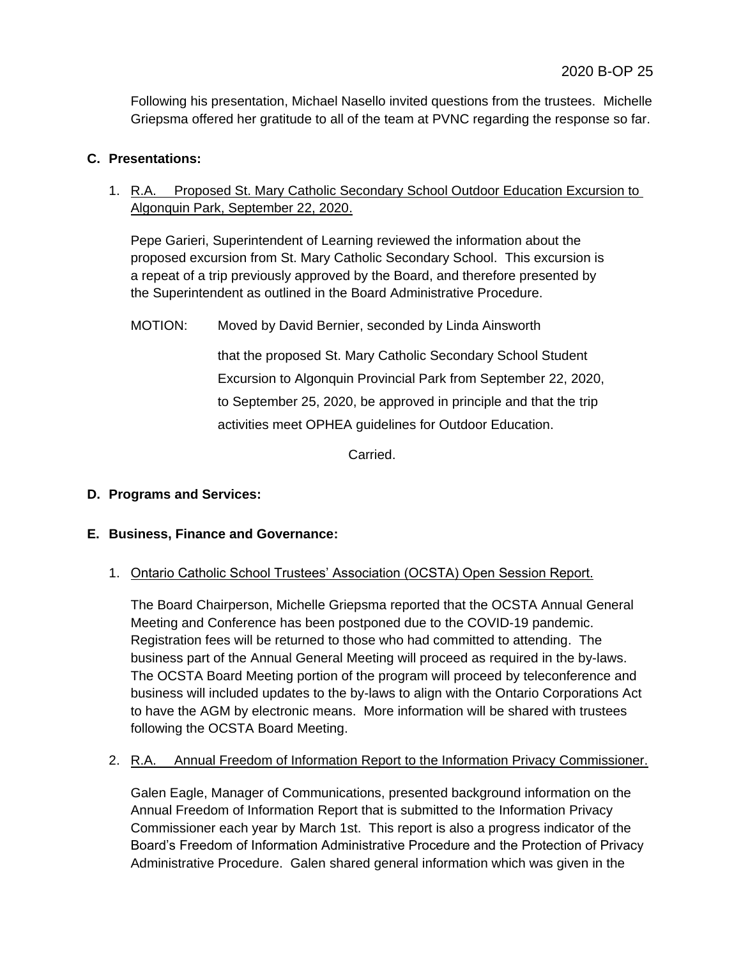Following his presentation, Michael Nasello invited questions from the trustees. Michelle Griepsma offered her gratitude to all of the team at PVNC regarding the response so far.

### **C. Presentations:**

1. R.A. Proposed St. Mary Catholic Secondary School Outdoor Education Excursion to Algonquin Park, September 22, 2020.

Pepe Garieri, Superintendent of Learning reviewed the information about the proposed excursion from St. Mary Catholic Secondary School. This excursion is a repeat of a trip previously approved by the Board, and therefore presented by the Superintendent as outlined in the Board Administrative Procedure.

MOTION: Moved by David Bernier, seconded by Linda Ainsworth

that the proposed St. Mary Catholic Secondary School Student Excursion to Algonquin Provincial Park from September 22, 2020, to September 25, 2020, be approved in principle and that the trip activities meet OPHEA guidelines for Outdoor Education.

Carried.

# **D. Programs and Services:**

#### **E. Business, Finance and Governance:**

#### 1. Ontario Catholic School Trustees' Association (OCSTA) Open Session Report.

The Board Chairperson, Michelle Griepsma reported that the OCSTA Annual General Meeting and Conference has been postponed due to the COVID-19 pandemic. Registration fees will be returned to those who had committed to attending. The business part of the Annual General Meeting will proceed as required in the by-laws. The OCSTA Board Meeting portion of the program will proceed by teleconference and business will included updates to the by-laws to align with the Ontario Corporations Act to have the AGM by electronic means. More information will be shared with trustees following the OCSTA Board Meeting.

#### 2. R.A. Annual Freedom of Information Report to the Information Privacy Commissioner.

Galen Eagle, Manager of Communications, presented background information on the Annual Freedom of Information Report that is submitted to the Information Privacy Commissioner each year by March 1st. This report is also a progress indicator of the Board's Freedom of Information Administrative Procedure and the Protection of Privacy Administrative Procedure. Galen shared general information which was given in the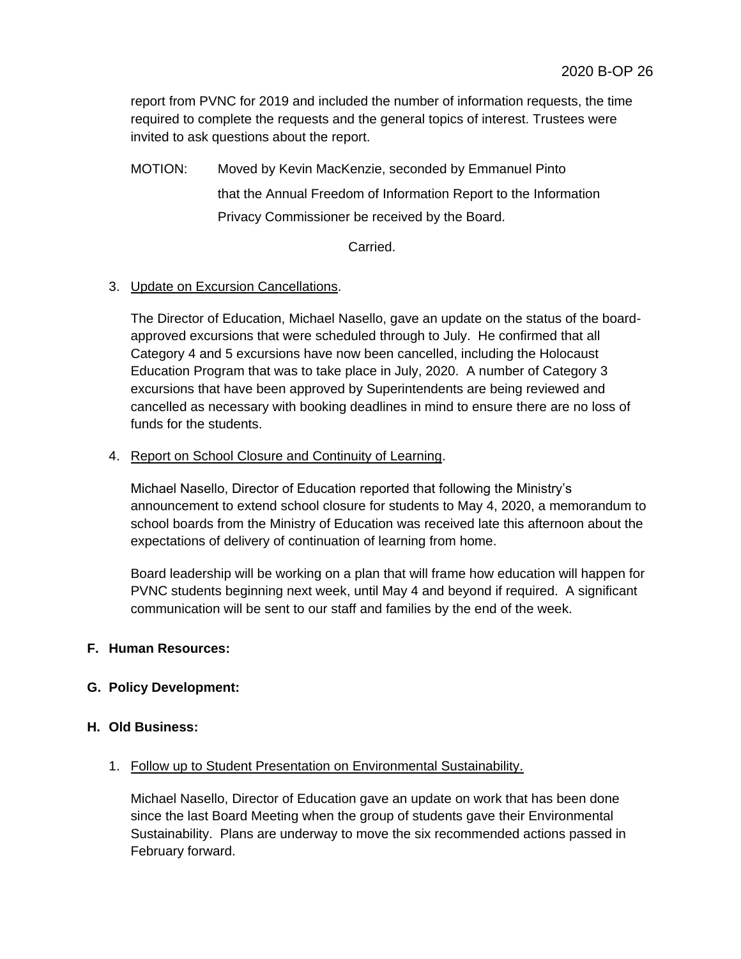report from PVNC for 2019 and included the number of information requests, the time required to complete the requests and the general topics of interest. Trustees were invited to ask questions about the report.

MOTION: Moved by Kevin MacKenzie, seconded by Emmanuel Pinto that the Annual Freedom of Information Report to the Information Privacy Commissioner be received by the Board.

Carried.

# 3. Update on Excursion Cancellations.

The Director of Education, Michael Nasello, gave an update on the status of the boardapproved excursions that were scheduled through to July. He confirmed that all Category 4 and 5 excursions have now been cancelled, including the Holocaust Education Program that was to take place in July, 2020. A number of Category 3 excursions that have been approved by Superintendents are being reviewed and cancelled as necessary with booking deadlines in mind to ensure there are no loss of funds for the students.

### 4. Report on School Closure and Continuity of Learning.

Michael Nasello, Director of Education reported that following the Ministry's announcement to extend school closure for students to May 4, 2020, a memorandum to school boards from the Ministry of Education was received late this afternoon about the expectations of delivery of continuation of learning from home.

Board leadership will be working on a plan that will frame how education will happen for PVNC students beginning next week, until May 4 and beyond if required. A significant communication will be sent to our staff and families by the end of the week.

# **F. Human Resources:**

# **G. Policy Development:**

#### **H. Old Business:**

#### 1. Follow up to Student Presentation on Environmental Sustainability.

Michael Nasello, Director of Education gave an update on work that has been done since the last Board Meeting when the group of students gave their Environmental Sustainability. Plans are underway to move the six recommended actions passed in February forward.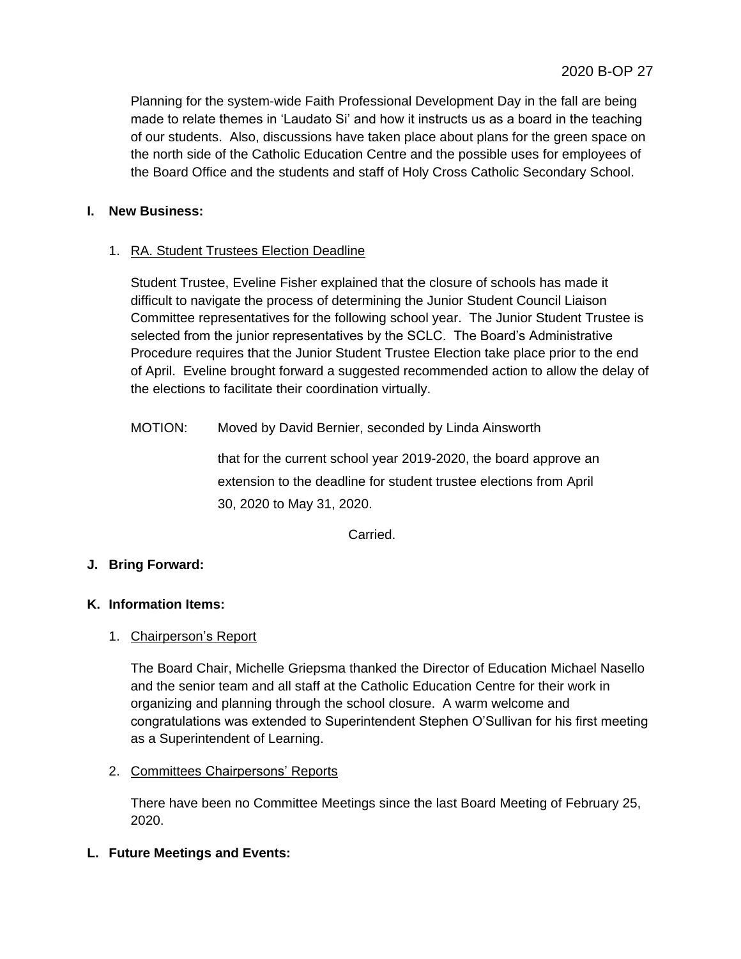Planning for the system-wide Faith Professional Development Day in the fall are being made to relate themes in 'Laudato Si' and how it instructs us as a board in the teaching of our students. Also, discussions have taken place about plans for the green space on the north side of the Catholic Education Centre and the possible uses for employees of the Board Office and the students and staff of Holy Cross Catholic Secondary School.

# **I. New Business:**

# 1. RA. Student Trustees Election Deadline

Student Trustee, Eveline Fisher explained that the closure of schools has made it difficult to navigate the process of determining the Junior Student Council Liaison Committee representatives for the following school year. The Junior Student Trustee is selected from the junior representatives by the SCLC. The Board's Administrative Procedure requires that the Junior Student Trustee Election take place prior to the end of April. Eveline brought forward a suggested recommended action to allow the delay of the elections to facilitate their coordination virtually.

MOTION: Moved by David Bernier, seconded by Linda Ainsworth

that for the current school year 2019-2020, the board approve an extension to the deadline for student trustee elections from April 30, 2020 to May 31, 2020.

Carried.

# **J. Bring Forward:**

# **K. Information Items:**

# 1. Chairperson's Report

The Board Chair, Michelle Griepsma thanked the Director of Education Michael Nasello and the senior team and all staff at the Catholic Education Centre for their work in organizing and planning through the school closure. A warm welcome and congratulations was extended to Superintendent Stephen O'Sullivan for his first meeting as a Superintendent of Learning.

# 2. Committees Chairpersons' Reports

There have been no Committee Meetings since the last Board Meeting of February 25, 2020.

# **L. Future Meetings and Events:**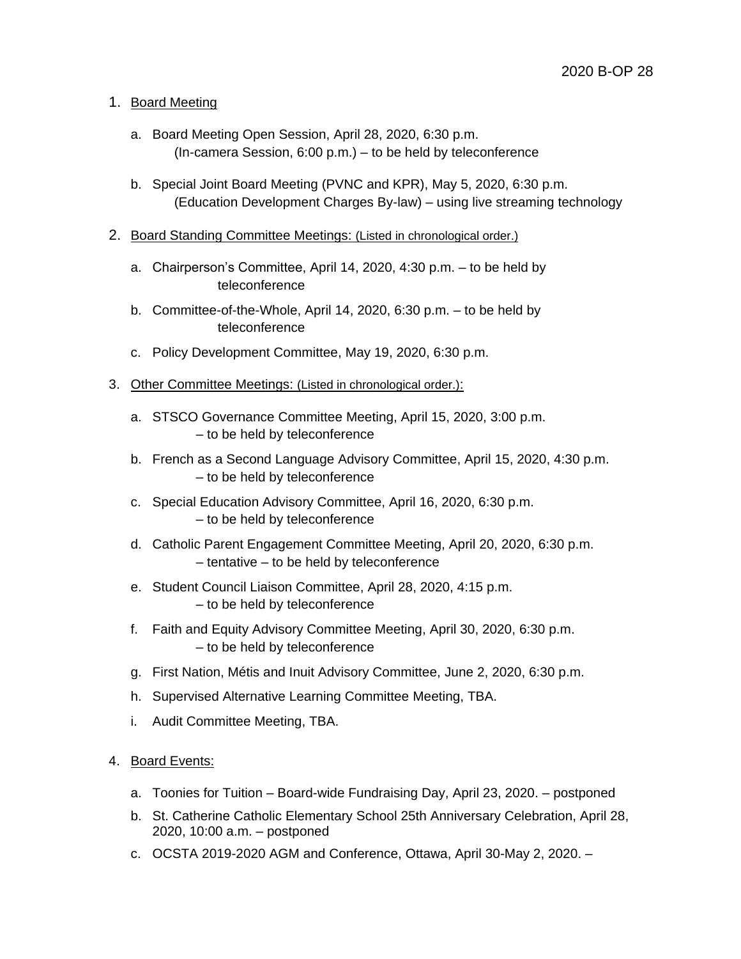# 1. Board Meeting

- a. Board Meeting Open Session, April 28, 2020, 6:30 p.m. (In-camera Session, 6:00 p.m.) – to be held by teleconference
- b. Special Joint Board Meeting (PVNC and KPR), May 5, 2020, 6:30 p.m. (Education Development Charges By-law) – using live streaming technology
- 2. Board Standing Committee Meetings: (Listed in chronological order.)
	- a. Chairperson's Committee, April 14, 2020, 4:30 p.m. to be held by teleconference
	- b. Committee-of-the-Whole, April 14, 2020, 6:30 p.m. to be held by teleconference
	- c. Policy Development Committee, May 19, 2020, 6:30 p.m.
- 3. Other Committee Meetings: (Listed in chronological order.):
	- a. STSCO Governance Committee Meeting, April 15, 2020, 3:00 p.m. – to be held by teleconference
	- b. French as a Second Language Advisory Committee, April 15, 2020, 4:30 p.m. – to be held by teleconference
	- c. Special Education Advisory Committee, April 16, 2020, 6:30 p.m. – to be held by teleconference
	- d. Catholic Parent Engagement Committee Meeting, April 20, 2020, 6:30 p.m. – tentative – to be held by teleconference
	- e. Student Council Liaison Committee, April 28, 2020, 4:15 p.m. – to be held by teleconference
	- f. Faith and Equity Advisory Committee Meeting, April 30, 2020, 6:30 p.m. – to be held by teleconference
	- g. First Nation, Métis and Inuit Advisory Committee, June 2, 2020, 6:30 p.m.
	- h. Supervised Alternative Learning Committee Meeting, TBA.
	- i. Audit Committee Meeting, TBA.
- 4. Board Events:
	- a. Toonies for Tuition Board-wide Fundraising Day, April 23, 2020. postponed
	- b. St. Catherine Catholic Elementary School 25th Anniversary Celebration, April 28, 2020, 10:00 a.m. – postponed
	- c. OCSTA 2019-2020 AGM and Conference, Ottawa, April 30-May 2, 2020. –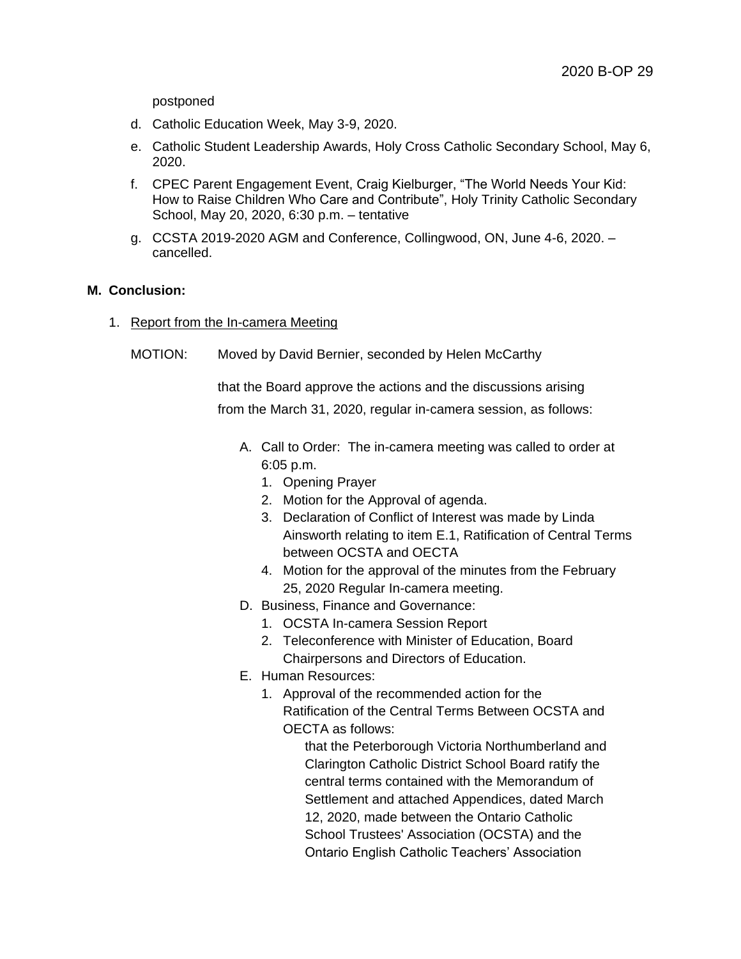postponed

- d. Catholic Education Week, May 3-9, 2020.
- e. Catholic Student Leadership Awards, Holy Cross Catholic Secondary School, May 6, 2020.
- f. CPEC Parent Engagement Event, Craig Kielburger, "The World Needs Your Kid: How to Raise Children Who Care and Contribute", Holy Trinity Catholic Secondary School, May 20, 2020, 6:30 p.m. – tentative
- g. CCSTA 2019-2020 AGM and Conference, Collingwood, ON, June 4-6, 2020. cancelled.

#### **M. Conclusion:**

- 1. Report from the In-camera Meeting
	- MOTION: Moved by David Bernier, seconded by Helen McCarthy

that the Board approve the actions and the discussions arising from the March 31, 2020, regular in-camera session, as follows:

- A. Call to Order: The in-camera meeting was called to order at 6:05 p.m.
	- 1. Opening Prayer
	- 2. Motion for the Approval of agenda.
	- 3. Declaration of Conflict of Interest was made by Linda Ainsworth relating to item E.1, Ratification of Central Terms between OCSTA and OECTA
	- 4. Motion for the approval of the minutes from the February 25, 2020 Regular In-camera meeting.
- D. Business, Finance and Governance:
	- 1. OCSTA In-camera Session Report
	- 2. Teleconference with Minister of Education, Board Chairpersons and Directors of Education.
- E. Human Resources:
	- 1. Approval of the recommended action for the Ratification of the Central Terms Between OCSTA and OECTA as follows:

that the Peterborough Victoria Northumberland and Clarington Catholic District School Board ratify the central terms contained with the Memorandum of Settlement and attached Appendices, dated March 12, 2020, made between the Ontario Catholic School Trustees' Association (OCSTA) and the Ontario English Catholic Teachers' Association